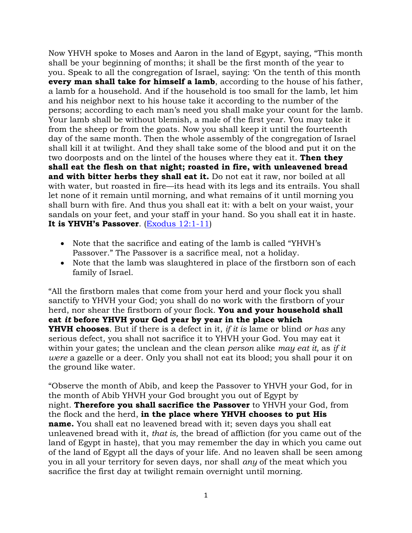Now YHVH spoke to Moses and Aaron in the land of Egypt, saying, "This month shall be your beginning of months; it shall be the first month of the year to you. Speak to all the congregation of Israel, saying: 'On the tenth of this month **every man shall take for himself a lamb**, according to the house of his father, a lamb for a household. And if the household is too small for the lamb, let him and his neighbor next to his house take it according to the number of the persons; according to each man's need you shall make your count for the lamb. Your lamb shall be without blemish, a male of the first year. You may take it from the sheep or from the goats. Now you shall keep it until the fourteenth day of the same month. Then the whole assembly of the congregation of Israel shall kill it at twilight. And they shall take some of the blood and put it on the two doorposts and on the lintel of the houses where they eat it. **Then they shall eat the flesh on that night; roasted in fire, with unleavened bread and with bitter herbs they shall eat it.** Do not eat it raw, nor boiled at all with water, but roasted in fire—its head with its legs and its entrails. You shall let none of it remain until morning, and what remains of it until morning you shall burn with fire. And thus you shall eat it: with a belt on your waist, your sandals on your feet, and your staff in your hand. So you shall eat it in haste. **It is YHVH's Passover**. [\(Exodus 12:1-11\)](https://biblia.com/bible/nkjv/Exod%2012.1-11)

- Note that the sacrifice and eating of the lamb is called "YHVH's Passover." The Passover is a sacrifice meal, not a holiday.
- Note that the lamb was slaughtered in place of the firstborn son of each family of Israel.

"All the firstborn males that come from your herd and your flock you shall sanctify to YHVH your God; you shall do no work with the firstborn of your herd, nor shear the firstborn of your flock. **You and your household shall eat** *it* **before YHVH your God year by year in the place which YHVH chooses**. But if there is a defect in it, *if it is* lame or blind *or has* any serious defect, you shall not sacrifice it to YHVH your God. You may eat it within your gates; the unclean and the clean *person* alike *may eat it,* as *if it were* a gazelle or a deer. Only you shall not eat its blood; you shall pour it on the ground like water.

"Observe the month of Abib, and keep the Passover to YHVH your God, for in the month of Abib YHVH your God brought you out of Egypt by night. **Therefore you shall sacrifice the Passover** to YHVH your God, from the flock and the herd, **in the place where YHVH chooses to put His name.** You shall eat no leavened bread with it; seven days you shall eat unleavened bread with it, *that is,* the bread of affliction (for you came out of the land of Egypt in haste), that you may remember the day in which you came out of the land of Egypt all the days of your life. And no leaven shall be seen among you in all your territory for seven days, nor shall *any* of the meat which you sacrifice the first day at twilight remain overnight until morning.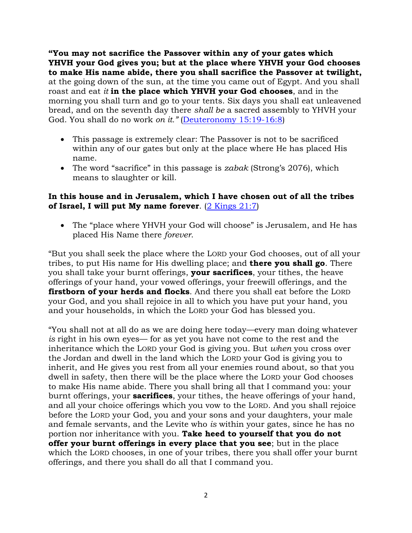**"You may not sacrifice the Passover within any of your gates which YHVH your God gives you; but at the place where YHVH your God chooses to make His name abide, there you shall sacrifice the Passover at twilight,** at the going down of the sun, at the time you came out of Egypt. And you shall roast and eat *it* **in the place which YHVH your God chooses**, and in the morning you shall turn and go to your tents. Six days you shall eat unleavened bread, and on the seventh day there *shall be* a sacred assembly to YHVH your God. You shall do no work *on it."* [\(Deuteronomy 15:19-16:8\)](https://biblia.com/bible/nkjv/Deut%2015.19-16.8)

- This passage is extremely clear: The Passover is not to be sacrificed within any of our gates but only at the place where He has placed His name.
- The word "sacrifice" in this passage is *zabak* (Strong's 2076), which means to slaughter or kill.

## **In this house and in Jerusalem, which I have chosen out of all the tribes of Israel, I will put My name forever**. [\(2 Kings 21:7\)](https://biblia.com/bible/nkjv/2%20Kings%2021.7)

• The "place where YHVH your God will choose" is Jerusalem, and He has placed His Name there *forever*.

"But you shall seek the place where the LORD your God chooses, out of all your tribes, to put His name for His dwelling place; and **there you shall go**. There you shall take your burnt offerings, **your sacrifices**, your tithes, the heave offerings of your hand, your vowed offerings, your freewill offerings, and the **firstborn of your herds and flocks**. And there you shall eat before the LORD your God, and you shall rejoice in all to which you have put your hand, you and your households, in which the LORD your God has blessed you.

"You shall not at all do as we are doing here today—every man doing whatever *is* right in his own eyes— for as yet you have not come to the rest and the inheritance which the LORD your God is giving you. But *when* you cross over the Jordan and dwell in the land which the LORD your God is giving you to inherit, and He gives you rest from all your enemies round about, so that you dwell in safety, then there will be the place where the LORD your God chooses to make His name abide. There you shall bring all that I command you: your burnt offerings, your **sacrifices**, your tithes, the heave offerings of your hand, and all your choice offerings which you vow to the LORD. And you shall rejoice before the LORD your God, you and your sons and your daughters, your male and female servants, and the Levite who *is* within your gates, since he has no portion nor inheritance with you. **Take heed to yourself that you do not offer your burnt offerings in every place that you see**; but in the place which the LORD chooses, in one of your tribes, there you shall offer your burnt offerings, and there you shall do all that I command you.